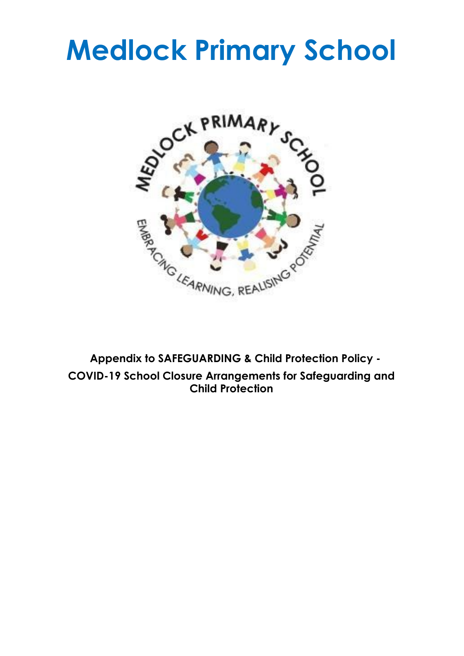# **Medlock Primary School**



**Appendix to SAFEGUARDING & Child Protection Policy - COVID-19 School Closure Arrangements for Safeguarding and Child Protection**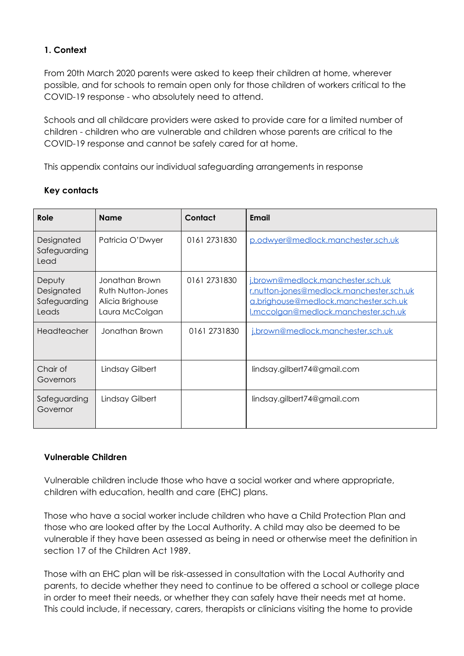# **1. Context**

From 20th March 2020 parents were asked to keep their children at home, wherever possible, and for schools to remain open only for those children of workers critical to the COVID-19 response - who absolutely need to attend.

Schools and all childcare providers were asked to provide care for a limited number of children - children who are vulnerable and children whose parents are critical to the COVID-19 response and cannot be safely cared for at home.

This appendix contains our individual safeguarding arrangements in response

| Role                                          | <b>Name</b>                                                               | Contact      | Email                                                                                                                                                          |
|-----------------------------------------------|---------------------------------------------------------------------------|--------------|----------------------------------------------------------------------------------------------------------------------------------------------------------------|
| Designated<br>Safeguarding<br>Lead            | Patricia O'Dwyer                                                          | 0161 2731830 | p.odwyer@medlock.manchester.sch.uk                                                                                                                             |
| Deputy<br>Designated<br>Safeguarding<br>Leads | Jonathan Brown<br>Ruth Nutton-Jones<br>Alicia Brighouse<br>Laura McColgan | 0161 2731830 | i.brown@medlock.manchester.sch.uk<br>r.nutton-jones@medlock.manchester.sch.uk<br>a.brighouse@medlock.manchester.sch.uk<br>I.mccolaan@medlock.manchester.sch.uk |
| Headteacher                                   | Jonathan Brown                                                            | 0161 2731830 | i.brown@medlock.manchester.sch.uk                                                                                                                              |
| Chair of<br>Governors                         | Lindsay Gilbert                                                           |              | lindsay.gilbert74@gmail.com                                                                                                                                    |
| Safeguarding<br>Governor                      | Lindsay Gilbert                                                           |              | lindsay.gilbert74@gmail.com                                                                                                                                    |

## **Key contacts**

### **Vulnerable Children**

Vulnerable children include those who have a social worker and where appropriate, children with education, health and care (EHC) plans.

Those who have a social worker include children who have a Child Protection Plan and those who are looked after by the Local Authority. A child may also be deemed to be vulnerable if they have been assessed as being in need or otherwise meet the definition in section 17 of the Children Act 1989.

Those with an EHC plan will be risk-assessed in consultation with the Local Authority and parents, to decide whether they need to continue to be offered a school or college place in order to meet their needs, or whether they can safely have their needs met at home. This could include, if necessary, carers, therapists or clinicians visiting the home to provide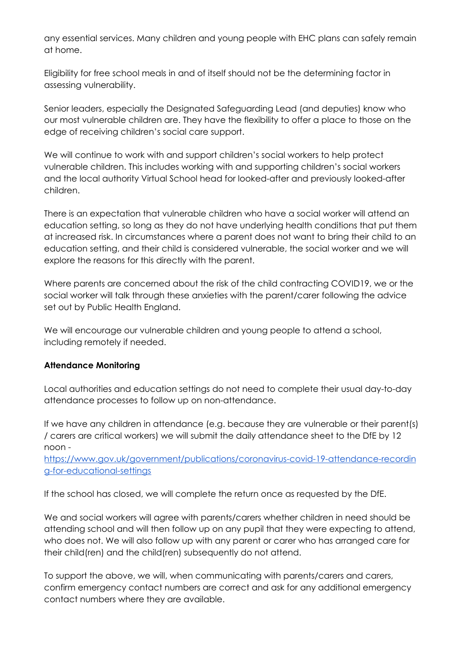any essential services. Many children and young people with EHC plans can safely remain at home.

Eligibility for free school meals in and of itself should not be the determining factor in assessing vulnerability.

Senior leaders, especially the Designated Safeguarding Lead (and deputies) know who our most vulnerable children are. They have the flexibility to offer a place to those on the edge of receiving children's social care support.

We will continue to work with and support children's social workers to help protect vulnerable children. This includes working with and supporting children's social workers and the local authority Virtual School head for looked-after and previously looked-after children.

There is an expectation that vulnerable children who have a social worker will attend an education setting, so long as they do not have underlying health conditions that put them at increased risk. In circumstances where a parent does not want to bring their child to an education setting, and their child is considered vulnerable, the social worker and we will explore the reasons for this directly with the parent.

Where parents are concerned about the risk of the child contracting COVID19, we or the social worker will talk through these anxieties with the parent/carer following the advice set out by Public Health England.

We will encourage our vulnerable children and young people to attend a school, including remotely if needed.

# **Attendance Monitoring**

Local authorities and education settings do not need to complete their usual day-to-day attendance processes to follow up on non-attendance.

If we have any children in attendance (e.g. because they are vulnerable or their parent(s) / carers are critical workers) we will submit the daily attendance sheet to the DfE by 12 noon -

[https://www.gov.uk/government/publications/coronavirus-covid-19-attendance-recordin](https://www.gov.uk/government/publications/coronavirus-covid-19-attendance-recording-for-educational-settings) [g-for-educational-settings](https://www.gov.uk/government/publications/coronavirus-covid-19-attendance-recording-for-educational-settings)

If the school has closed, we will complete the return once as requested by the DfE.

We and social workers will agree with parents/carers whether children in need should be attending school and will then follow up on any pupil that they were expecting to attend, who does not. We will also follow up with any parent or carer who has arranged care for their child(ren) and the child(ren) subsequently do not attend.

To support the above, we will, when communicating with parents/carers and carers, confirm emergency contact numbers are correct and ask for any additional emergency contact numbers where they are available.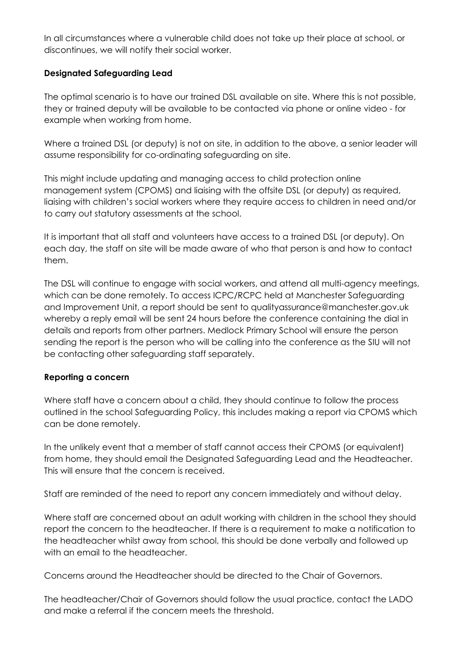In all circumstances where a vulnerable child does not take up their place at school, or discontinues, we will notify their social worker.

## **Designated Safeguarding Lead**

The optimal scenario is to have our trained DSL available on site. Where this is not possible, they or trained deputy will be available to be contacted via phone or online video - for example when working from home.

Where a trained DSL (or deputy) is not on site, in addition to the above, a senior leader will assume responsibility for co-ordinating safeguarding on site.

This might include updating and managing access to child protection online management system (CPOMS) and liaising with the offsite DSL (or deputy) as required, liaising with children's social workers where they require access to children in need and/or to carry out statutory assessments at the school.

It is important that all staff and volunteers have access to a trained DSL (or deputy). On each day, the staff on site will be made aware of who that person is and how to contact them.

The DSL will continue to engage with social workers, and attend all multi-agency meetings, which can be done remotely. To access ICPC/RCPC held at Manchester Safeguarding and Improvement Unit, a report should be sent to qualityassurance@manchester.gov.uk whereby a reply email will be sent 24 hours before the conference containing the dial in details and reports from other partners. Medlock Primary School will ensure the person sending the report is the person who will be calling into the conference as the SIU will not be contacting other safeguarding staff separately.

### **Reporting a concern**

Where staff have a concern about a child, they should continue to follow the process outlined in the school Safeguarding Policy, this includes making a report via CPOMS which can be done remotely.

In the unlikely event that a member of staff cannot access their CPOMS (or equivalent) from home, they should email the Designated Safeguarding Lead and the Headteacher. This will ensure that the concern is received.

Staff are reminded of the need to report any concern immediately and without delay.

Where staff are concerned about an adult working with children in the school they should report the concern to the headteacher. If there is a requirement to make a notification to the headteacher whilst away from school, this should be done verbally and followed up with an email to the headteacher.

Concerns around the Headteacher should be directed to the Chair of Governors.

The headteacher/Chair of Governors should follow the usual practice, contact the LADO and make a referral if the concern meets the threshold.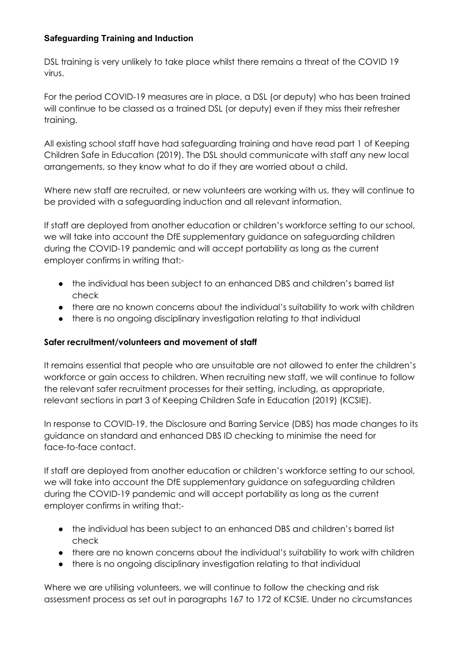# **Safeguarding Training and Induction**

DSL training is very unlikely to take place whilst there remains a threat of the COVID 19 virus.

For the period COVID-19 measures are in place, a DSL (or deputy) who has been trained will continue to be classed as a trained DSL (or deputy) even if they miss their refresher training.

All existing school staff have had safeguarding training and have read part 1 of Keeping Children Safe in Education (2019). The DSL should communicate with staff any new local arrangements, so they know what to do if they are worried about a child.

Where new staff are recruited, or new volunteers are working with us, they will continue to be provided with a safeguarding induction and all relevant information.

If staff are deployed from another education or children's workforce setting to our school, we will take into account the DfE supplementary guidance on safeguarding children during the COVID-19 pandemic and will accept portability as long as the current employer confirms in writing that:-

- the individual has been subject to an enhanced DBS and children's barred list check
- there are no known concerns about the individual's suitability to work with children
- there is no ongoing disciplinary investigation relating to that individual

# **Safer recruitment/volunteers and movement of staff**

It remains essential that people who are unsuitable are not allowed to enter the children's workforce or gain access to children. When recruiting new staff, we will continue to follow the relevant safer recruitment processes for their setting, including, as appropriate, relevant sections in part 3 of Keeping Children Safe in Education (2019) (KCSIE).

In response to COVID-19, the Disclosure and Barring Service (DBS) has made changes to its guidance on standard and enhanced DBS ID checking to minimise the need for face-to-face contact.

If staff are deployed from another education or children's workforce setting to our school, we will take into account the DfE supplementary guidance on safeguarding children during the COVID-19 pandemic and will accept portability as long as the current employer confirms in writing that:-

- the individual has been subject to an enhanced DBS and children's barred list check
- there are no known concerns about the individual's suitability to work with children
- there is no ongoing disciplinary investigation relating to that individual

Where we are utilising volunteers, we will continue to follow the checking and risk assessment process as set out in paragraphs 167 to 172 of KCSIE. Under no circumstances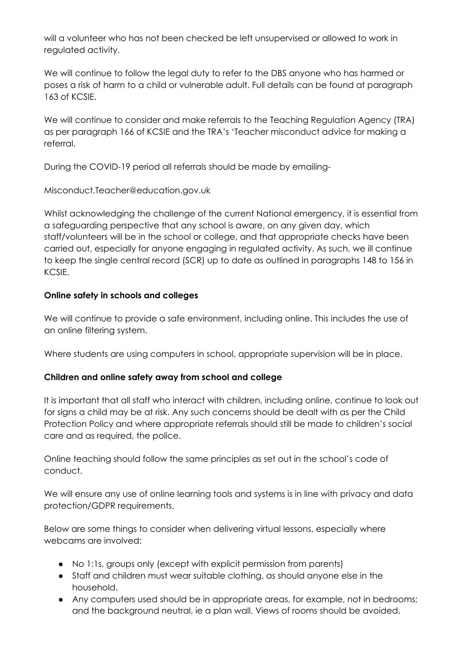will a volunteer who has not been checked be left unsupervised or allowed to work in regulated activity.

We will continue to follow the legal duty to refer to the DBS anyone who has harmed or poses a risk of harm to a child or vulnerable adult. Full details can be found at paragraph 163 of KCSIE.

We will continue to consider and make referrals to the Teaching Regulation Agency (TRA) as per paragraph 166 of KCSIE and the TRA's 'Teacher misconduct advice for making a referral.

During the COVID-19 period all referrals should be made by emailing-

Misconduct.Teacher@education.gov.uk

Whilst acknowledging the challenge of the current National emergency, it is essential from a safeguarding perspective that any school is aware, on any given day, which staff/volunteers will be in the school or college, and that appropriate checks have been carried out, especially for anyone engaging in regulated activity. As such, we ill continue to keep the single central record (SCR) up to date as outlined in paragraphs 148 to 156 in KCSIE.

## **Online safety in schools and colleges**

We will continue to provide a safe environment, including online. This includes the use of an online filtering system.

Where students are using computers in school, appropriate supervision will be in place.

# **Children and online safety away from school and college**

It is important that all staff who interact with children, including online, continue to look out for signs a child may be at risk. Any such concerns should be dealt with as per the Child Protection Policy and where appropriate referrals should still be made to children's social care and as required, the police.

Online teaching should follow the same principles as set out in the school's code of conduct.

We will ensure any use of online learning tools and systems is in line with privacy and data protection/GDPR requirements.

Below are some things to consider when delivering virtual lessons, especially where webcams are involved:

- No 1:1s, groups only (except with explicit permission from parents)
- Staff and children must wear suitable clothing, as should anyone else in the household.
- Any computers used should be in appropriate areas, for example, not in bedrooms; and the background neutral, ie a plan wall. Views of rooms should be avoided.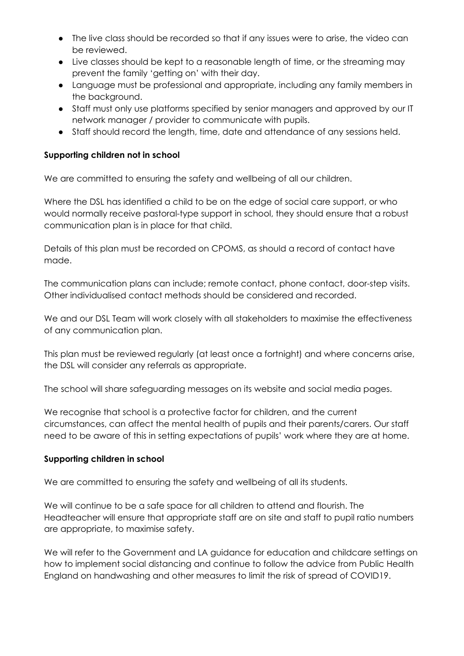- The live class should be recorded so that if any issues were to arise, the video can be reviewed.
- Live classes should be kept to a reasonable length of time, or the streaming may prevent the family 'getting on' with their day.
- Language must be professional and appropriate, including any family members in the background.
- Staff must only use platforms specified by senior managers and approved by our IT network manager / provider to communicate with pupils.
- Staff should record the length, time, date and attendance of any sessions held.

# **Supporting children not in school**

We are committed to ensuring the safety and wellbeing of all our children.

Where the DSL has identified a child to be on the edge of social care support, or who would normally receive pastoral-type support in school, they should ensure that a robust communication plan is in place for that child.

Details of this plan must be recorded on CPOMS, as should a record of contact have made.

The communication plans can include; remote contact, phone contact, door-step visits. Other individualised contact methods should be considered and recorded.

We and our DSL Team will work closely with all stakeholders to maximise the effectiveness of any communication plan.

This plan must be reviewed regularly (at least once a fortnight) and where concerns arise, the DSL will consider any referrals as appropriate.

The school will share safeguarding messages on its website and social media pages.

We recognise that school is a protective factor for children, and the current circumstances, can affect the mental health of pupils and their parents/carers. Our staff need to be aware of this in setting expectations of pupils' work where they are at home.

### **Supporting children in school**

We are committed to ensuring the safety and wellbeing of all its students.

We will continue to be a safe space for all children to attend and flourish. The Headteacher will ensure that appropriate staff are on site and staff to pupil ratio numbers are appropriate, to maximise safety.

We will refer to the Government and LA guidance for education and childcare settings on how to implement social distancing and continue to follow the advice from Public Health England on handwashing and other measures to limit the risk of spread of COVID19.